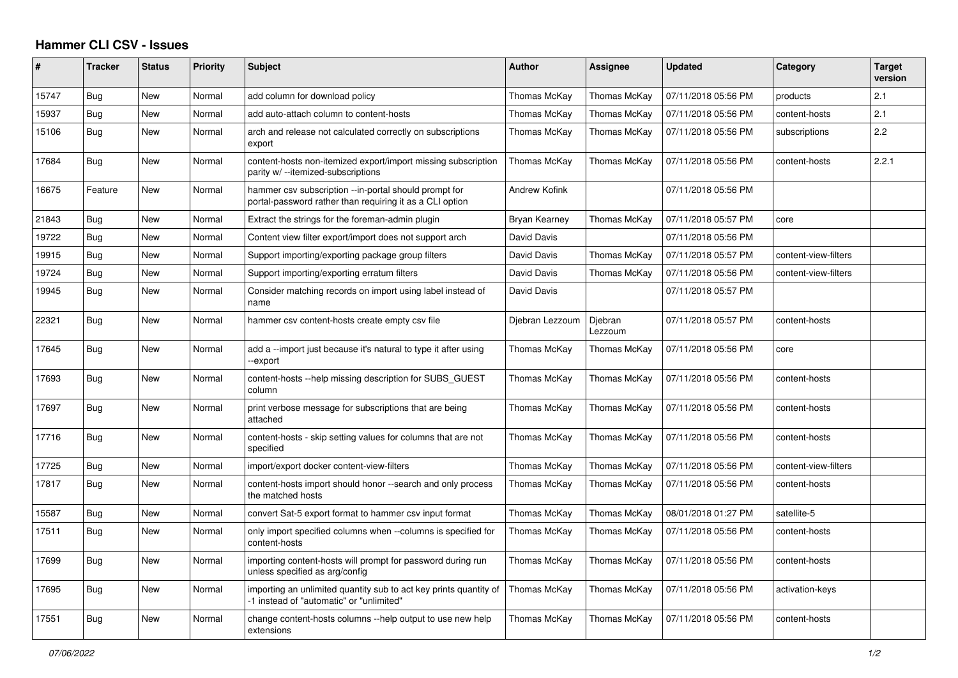## **Hammer CLI CSV - Issues**

| ∦     | <b>Tracker</b> | <b>Status</b> | Priority | <b>Subject</b>                                                                                                    | <b>Author</b>        | Assignee           | <b>Updated</b>      | Category             | <b>Target</b><br>version |
|-------|----------------|---------------|----------|-------------------------------------------------------------------------------------------------------------------|----------------------|--------------------|---------------------|----------------------|--------------------------|
| 15747 | Bug            | New           | Normal   | add column for download policy                                                                                    | Thomas McKay         | Thomas McKay       | 07/11/2018 05:56 PM | products             | 2.1                      |
| 15937 | Bug            | New           | Normal   | add auto-attach column to content-hosts                                                                           | Thomas McKay         | Thomas McKay       | 07/11/2018 05:56 PM | content-hosts        | 2.1                      |
| 15106 | Bug            | New           | Normal   | arch and release not calculated correctly on subscriptions<br>export                                              | Thomas McKay         | Thomas McKay       | 07/11/2018 05:56 PM | subscriptions        | 2.2                      |
| 17684 | Bug            | New           | Normal   | content-hosts non-itemized export/import missing subscription<br>parity w/ --itemized-subscriptions               | Thomas McKay         | Thomas McKay       | 07/11/2018 05:56 PM | content-hosts        | 2.2.1                    |
| 16675 | Feature        | <b>New</b>    | Normal   | hammer csv subscription --in-portal should prompt for<br>portal-password rather than requiring it as a CLI option | <b>Andrew Kofink</b> |                    | 07/11/2018 05:56 PM |                      |                          |
| 21843 | Bug            | New           | Normal   | Extract the strings for the foreman-admin plugin                                                                  | Bryan Kearney        | Thomas McKay       | 07/11/2018 05:57 PM | core                 |                          |
| 19722 | Bug            | New           | Normal   | Content view filter export/import does not support arch                                                           | David Davis          |                    | 07/11/2018 05:56 PM |                      |                          |
| 19915 | Bug            | New           | Normal   | Support importing/exporting package group filters                                                                 | David Davis          | Thomas McKay       | 07/11/2018 05:57 PM | content-view-filters |                          |
| 19724 | Bug            | New           | Normal   | Support importing/exporting erratum filters                                                                       | David Davis          | Thomas McKay       | 07/11/2018 05:56 PM | content-view-filters |                          |
| 19945 | Bug            | New           | Normal   | Consider matching records on import using label instead of<br>name                                                | David Davis          |                    | 07/11/2018 05:57 PM |                      |                          |
| 22321 | Bug            | New           | Normal   | hammer csv content-hosts create empty csv file                                                                    | Djebran Lezzoum      | Djebran<br>Lezzoum | 07/11/2018 05:57 PM | content-hosts        |                          |
| 17645 | <b>Bug</b>     | <b>New</b>    | Normal   | add a --import just because it's natural to type it after using<br>-export                                        | Thomas McKay         | Thomas McKay       | 07/11/2018 05:56 PM | core                 |                          |
| 17693 | Bug            | New           | Normal   | content-hosts --help missing description for SUBS_GUEST<br>column                                                 | Thomas McKay         | Thomas McKay       | 07/11/2018 05:56 PM | content-hosts        |                          |
| 17697 | Bug            | New           | Normal   | print verbose message for subscriptions that are being<br>attached                                                | Thomas McKay         | Thomas McKay       | 07/11/2018 05:56 PM | content-hosts        |                          |
| 17716 | Bug            | <b>New</b>    | Normal   | content-hosts - skip setting values for columns that are not<br>specified                                         | Thomas McKay         | Thomas McKay       | 07/11/2018 05:56 PM | content-hosts        |                          |
| 17725 | Bug            | <b>New</b>    | Normal   | import/export docker content-view-filters                                                                         | Thomas McKay         | Thomas McKay       | 07/11/2018 05:56 PM | content-view-filters |                          |
| 17817 | <b>Bug</b>     | <b>New</b>    | Normal   | content-hosts import should honor --search and only process<br>the matched hosts                                  | Thomas McKay         | Thomas McKay       | 07/11/2018 05:56 PM | content-hosts        |                          |
| 15587 | Bug            | New           | Normal   | convert Sat-5 export format to hammer csv input format                                                            | Thomas McKay         | Thomas McKay       | 08/01/2018 01:27 PM | satellite-5          |                          |
| 17511 | <b>Bug</b>     | New           | Normal   | only import specified columns when --columns is specified for<br>content-hosts                                    | Thomas McKay         | Thomas McKay       | 07/11/2018 05:56 PM | content-hosts        |                          |
| 17699 | Bug            | New           | Normal   | importing content-hosts will prompt for password during run<br>unless specified as arg/config                     | Thomas McKay         | Thomas McKay       | 07/11/2018 05:56 PM | content-hosts        |                          |
| 17695 | <b>Bug</b>     | <b>New</b>    | Normal   | importing an unlimited quantity sub to act key prints quantity of<br>-1 instead of "automatic" or "unlimited"     | Thomas McKay         | Thomas McKay       | 07/11/2018 05:56 PM | activation-keys      |                          |
| 17551 | Bug            | New           | Normal   | change content-hosts columns --help output to use new help<br>extensions                                          | Thomas McKay         | Thomas McKay       | 07/11/2018 05:56 PM | content-hosts        |                          |